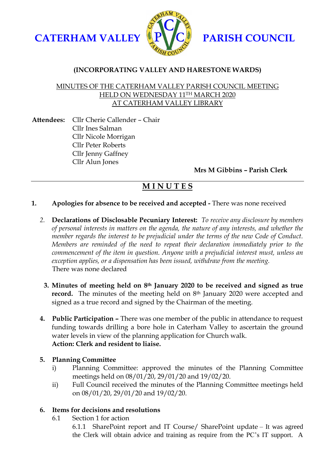



# **(INCORPORATING VALLEY AND HARESTONE WARDS)**

## MINUTES OF THE CATERHAM VALLEY PARISH COUNCIL MEETING HELD ON WEDNESDAY 11TH MARCH 2020 AT CATERHAM VALLEY LIBRARY

**Attendees:** Cllr Cherie Callender – Chair Cllr Ines Salman Cllr Nicole Morrigan Cllr Peter Roberts Cllr Jenny Gaffney Cllr Alun Jones

**Mrs M Gibbins – Parish Clerk**

# **M I N U T E S**

## **1. Apologies for absence to be received and accepted -** There was none received

- *2.* **Declarations of Disclosable Pecuniary Interest:** *To receive any disclosure by members of personal interests in matters on the agenda, the nature of any interests, and whether the member regards the interest to be prejudicial under the terms of the new Code of Conduct. Members are reminded of the need to repeat their declaration immediately prior to the commencement of the item in question. Anyone with a prejudicial interest must, unless an exception applies, or a dispensation has been issued, withdraw from the meeting.* There was none declared
	- **3. Minutes of meeting held on 8th January 2020 to be received and signed as true record.** The minutes of the meeting held on 8<sup>th</sup> January 2020 were accepted and signed as a true record and signed by the Chairman of the meeting.
- **4. Public Participation –** There was one member of the public in attendance to request funding towards drilling a bore hole in Caterham Valley to ascertain the ground water levels in view of the planning application for Church walk. **Action: Clerk and resident to liaise.**

#### **5. Planning Committee**

- i) Planning Committee: approved the minutes of the Planning Committee meetings held on 08/01/20, 29/01/20 and 19/02/20.
- ii) Full Council received the minutes of the Planning Committee meetings held on 08/01/20, 29/01/20 and 19/02/20.

# **6. Items for decisions and resolutions**

- 6.1 Section 1 for action
	- 6.1.1 SharePoint report and IT Course/ SharePoint update It was agreed the Clerk will obtain advice and training as require from the PC's IT support. A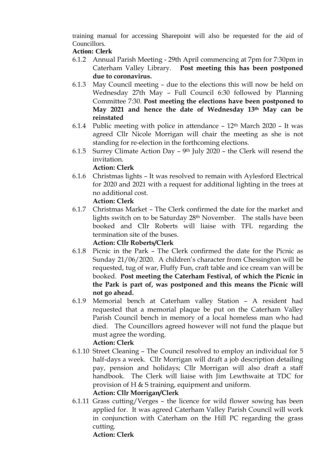training manual for accessing Sharepoint will also be requested for the aid of Councillors.

# **Action: Clerk**

- 6.1.2 Annual Parish Meeting 29th April commencing at 7pm for 7:30pm in Caterham Valley Library. **Post meeting this has been postponed due to coronavirus.**
- 6.1.3 May Council meeting due to the elections this will now be held on Wednesday 27th May – Full Council 6:30 followed by Planning Committee 7:30. **Post meeting the elections have been postponed to May 2021 and hence the date of Wednesday 13th May can be reinstated**
- 6.1.4 Public meeting with police in attendance  $-12<sup>th</sup>$  March 2020 It was agreed Cllr Nicole Morrigan will chair the meeting as she is not standing for re-election in the forthcoming elections.
- 6.1.5 Surrey Climate Action Day  $9<sup>th</sup>$  July 2020 the Clerk will resend the invitation.

# **Action: Clerk**

6.1.6 Christmas lights – It was resolved to remain with Aylesford Electrical for 2020 and 2021 with a request for additional lighting in the trees at no additional cost.

# **Action: Clerk**

6.1.7 Christmas Market – The Clerk confirmed the date for the market and lights switch on to be Saturday 28th November. The stalls have been booked and Cllr Roberts will liaise with TFL regarding the termination site of the buses.

# **Action: Cllr Roberts/Clerk**

- 6.1.8 Picnic in the Park The Clerk confirmed the date for the Picnic as Sunday 21/06/2020. A children's character from Chessington will be requested, tug of war, Fluffy Fun, craft table and ice cream van will be booked. **Post meeting the Caterham Festival, of which the Picnic in the Park is part of, was postponed and this means the Picnic will not go ahead.**
- 6.1.9 Memorial bench at Caterham valley Station A resident had requested that a memorial plaque be put on the Caterham Valley Parish Council bench in memory of a local homeless man who had died. The Councillors agreed however will not fund the plaque but must agree the wording. **Action: Clerk**

# 6.1.10 Street Cleaning – The Council resolved to employ an individual for 5 half-days a week. Cllr Morrigan will draft a job description detailing pay, pension and holidays; Cllr Morrigan will also draft a staff handbook. The Clerk will liaise with Jim Lewthwaite at TDC for provision of H & S training, equipment and uniform. **Action: Cllr Morrigan/Clerk**

6.1.11 Grass cutting/Verges – the licence for wild flower sowing has been applied for. It was agreed Caterham Valley Parish Council will work in conjunction with Caterham on the Hill PC regarding the grass cutting. **Action: Clerk**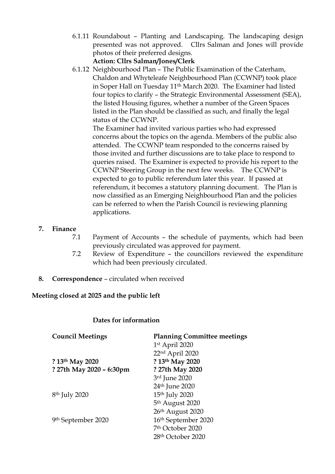- 6.1.11 Roundabout Planting and Landscaping. The landscaping design presented was not approved. Cllrs Salman and Jones will provide photos of their preferred designs. **Action: Cllrs Salman/Jones/Clerk**
- 6.1.12 Neighbourhood Plan The Public Examination of the Caterham, Chaldon and Whyteleafe Neighbourhood Plan (CCWNP) took place in Soper Hall on Tuesday 11th March 2020. The Examiner had listed four topics to clarify – the Strategic Environmental Assessment (SEA), the listed Housing figures, whether a number of the Green Spaces listed in the Plan should be classified as such, and finally the legal status of the CCWNP.

The Examiner had invited various parties who had expressed concerns about the topics on the agenda. Members of the public also attended. The CCWNP team responded to the concerns raised by those invited and further discussions are to take place to respond to queries raised. The Examiner is expected to provide his report to the CCWNP Steering Group in the next few weeks. The CCWNP is expected to go to public referendum later this year. If passed at referendum, it becomes a statutory planning document. The Plan is now classified as an Emerging Neighbourhood Plan and the policies can be referred to when the Parish Council is reviewing planning applications.

## **7. Finance**

- 7.1 Payment of Accounts the schedule of payments, which had been previously circulated was approved for payment.
- 7.2 Review of Expenditure the councillors reviewed the expenditure which had been previously circulated.
- **8. Correspondence** circulated when received

#### **Meeting closed at 2025 and the public left**

#### **Dates for information**

| <b>Council Meetings</b>   | <b>Planning Committee meetings</b> |
|---------------------------|------------------------------------|
|                           | 1st April 2020                     |
|                           | 22nd April 2020                    |
| ? 13th May 2020           | ? 13th May 2020                    |
| ? 27th May 2020 - 6:30pm  | ? 27th May 2020                    |
|                           | 3rd June 2020                      |
|                           | 24 <sup>th</sup> June 2020         |
| 8 <sup>th</sup> July 2020 | 15 <sup>th</sup> July 2020         |
|                           | 5 <sup>th</sup> August 2020        |
|                           | 26th August 2020                   |
| 9th September 2020        | 16th September 2020                |
|                           | 7 <sup>th</sup> October 2020       |
|                           | 28 <sup>th</sup> October 2020      |